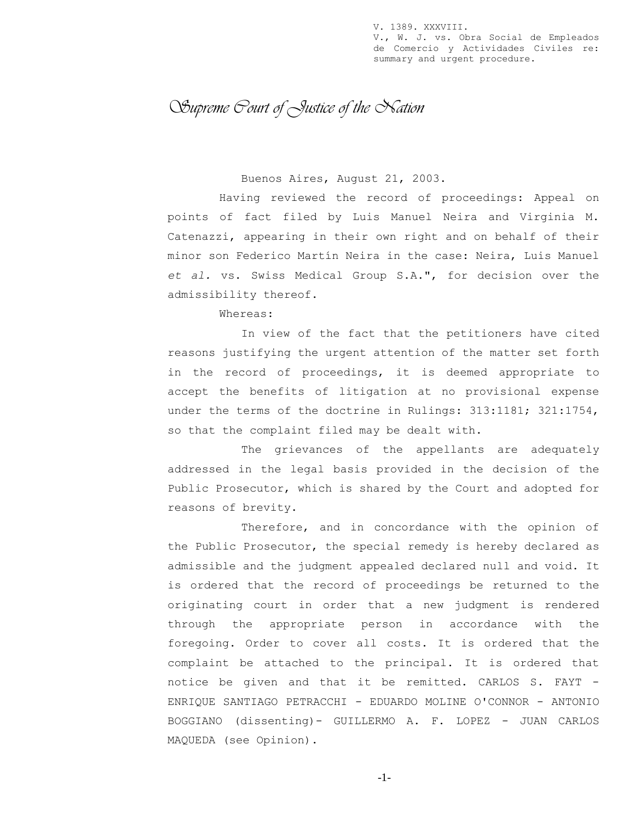V. 1389. XXXVIII. V., W. J. vs. Obra Social de Empleados de Comercio y Actividades Civiles re: summary and urgent procedure.

*Supreme Court of Justice of the Nation*

## Buenos Aires, August 21, 2003.

Having reviewed the record of proceedings: Appeal on points of fact filed by Luis Manuel Neira and Virginia M. Catenazzi, appearing in their own right and on behalf of their minor son Federico Martín Neira in the case: Neira, Luis Manuel *et al.* vs. Swiss Medical Group S.A.", for decision over the admissibility thereof.

Whereas:

In view of the fact that the petitioners have cited reasons justifying the urgent attention of the matter set forth in the record of proceedings, it is deemed appropriate to accept the benefits of litigation at no provisional expense under the terms of the doctrine in Rulings: 313:1181; 321:1754, so that the complaint filed may be dealt with.

The grievances of the appellants are adequately addressed in the legal basis provided in the decision of the Public Prosecutor, which is shared by the Court and adopted for reasons of brevity.

Therefore, and in concordance with the opinion of the Public Prosecutor, the special remedy is hereby declared as admissible and the judgment appealed declared null and void. It is ordered that the record of proceedings be returned to the originating court in order that a new judgment is rendered through the appropriate person in accordance with the foregoing. Order to cover all costs. It is ordered that the complaint be attached to the principal. It is ordered that notice be given and that it be remitted. CARLOS S. FAYT - ENRIQUE SANTIAGO PETRACCHI - EDUARDO MOLINE O'CONNOR - ANTONIO BOGGIANO (dissenting)- GUILLERMO A. F. LOPEZ - JUAN CARLOS MAQUEDA (see Opinion).

-1-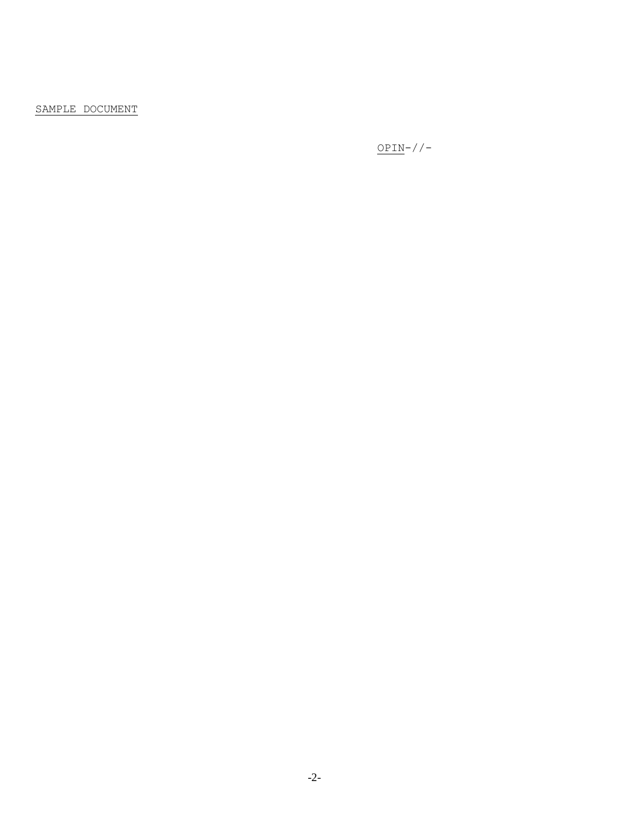## SAMPLE DOCUMENT

 $\texttt{OPIN-}\rangle/\rangle$  –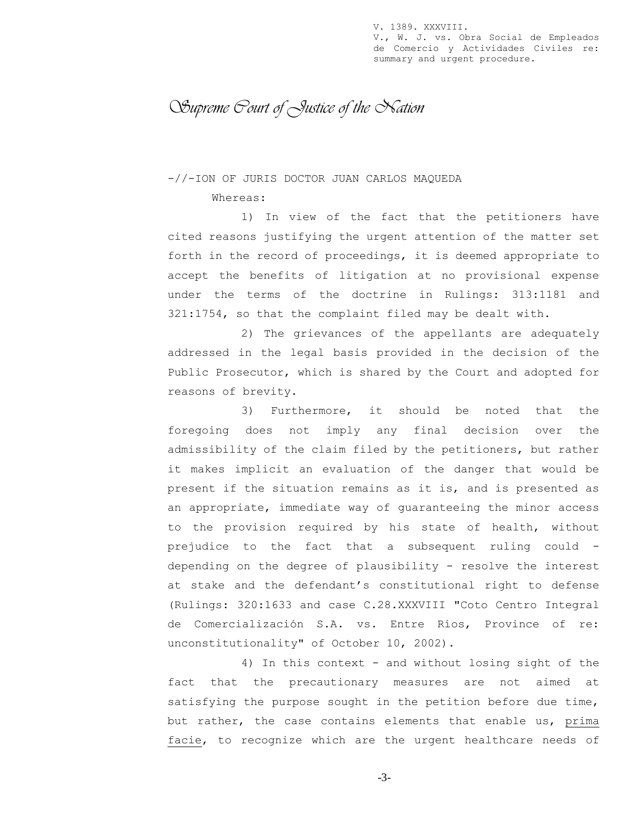V. 1389. XXXVIII. V., W. J. vs. Obra Social de Empleados de Comercio y Actividades Civiles re: summary and urgent procedure.

*Supreme Court of Justice of the Nation*

-//-ION OF JURIS DOCTOR JUAN CARLOS MAQUEDA

Whereas:

1) In view of the fact that the petitioners have cited reasons justifying the urgent attention of the matter set forth in the record of proceedings, it is deemed appropriate to accept the benefits of litigation at no provisional expense under the terms of the doctrine in Rulings: 313:1181 and 321:1754, so that the complaint filed may be dealt with.

2) The grievances of the appellants are adequately addressed in the legal basis provided in the decision of the Public Prosecutor, which is shared by the Court and adopted for reasons of brevity.

3) Furthermore, it should be noted that the foregoing does not imply any final decision over the admissibility of the claim filed by the petitioners, but rather it makes implicit an evaluation of the danger that would be present if the situation remains as it is, and is presented as an appropriate, immediate way of guaranteeing the minor access to the provision required by his state of health, without prejudice to the fact that a subsequent ruling could depending on the degree of plausibility - resolve the interest at stake and the defendant's constitutional right to defense (Rulings: 320:1633 and case C.28.XXXVIII "Coto Centro Integral de Comercialización S.A. vs. Entre Ríos, Province of re: unconstitutionality" of October 10, 2002).

4) In this context - and without losing sight of the fact that the precautionary measures are not aimed at satisfying the purpose sought in the petition before due time, but rather, the case contains elements that enable us, prima facie, to recognize which are the urgent healthcare needs of

-3-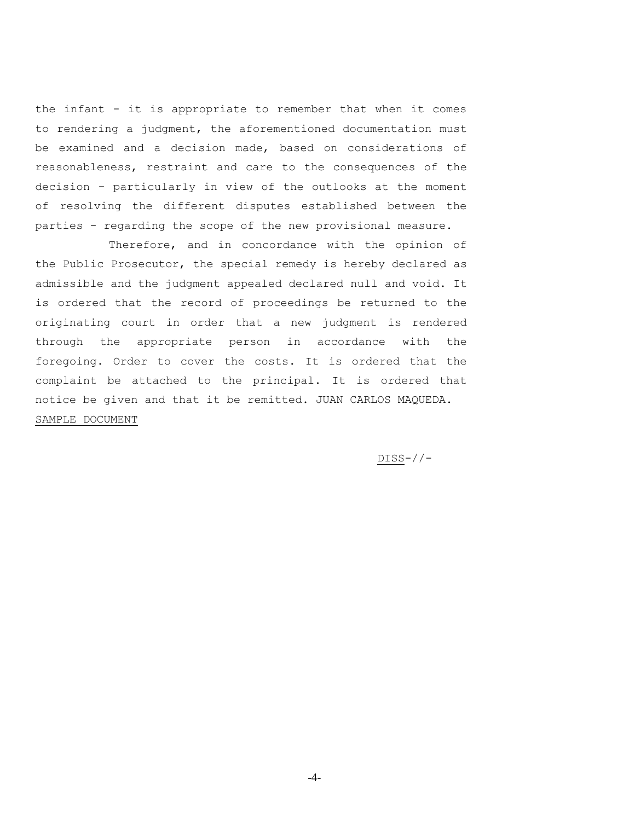the infant - it is appropriate to remember that when it comes to rendering a judgment, the aforementioned documentation must be examined and a decision made, based on considerations of reasonableness, restraint and care to the consequences of the decision - particularly in view of the outlooks at the moment of resolving the different disputes established between the parties - regarding the scope of the new provisional measure.

Therefore, and in concordance with the opinion of the Public Prosecutor, the special remedy is hereby declared as admissible and the judgment appealed declared null and void. It is ordered that the record of proceedings be returned to the originating court in order that a new judgment is rendered through the appropriate person in accordance with the foregoing. Order to cover the costs. It is ordered that the complaint be attached to the principal. It is ordered that notice be given and that it be remitted. JUAN CARLOS MAQUEDA. SAMPLE DOCUMENT

DISS-//-